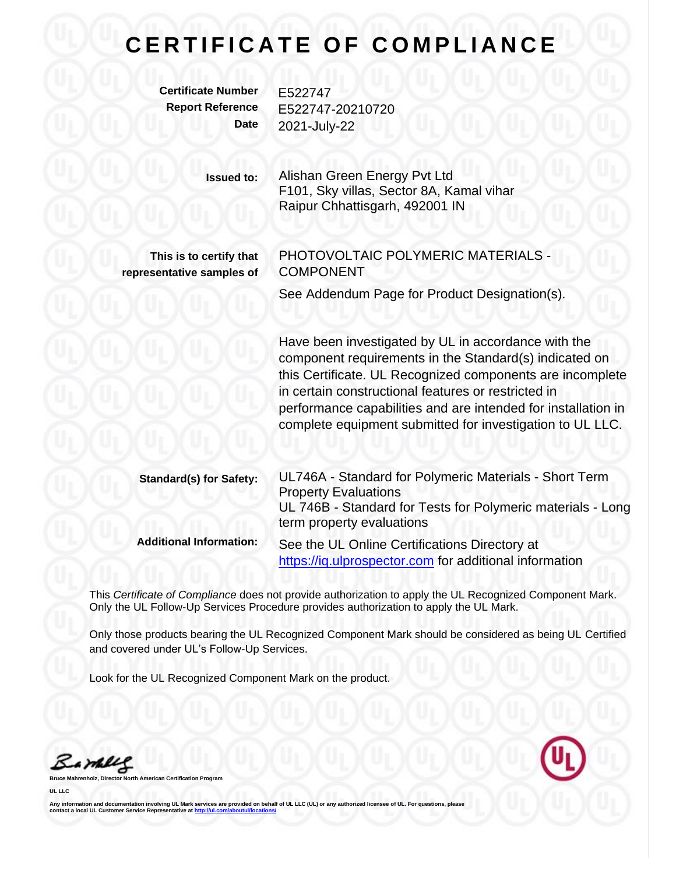## **CERTIFICATE OF COMPLIANCE**

**Certificate Number** E522747

**Report Reference** E522747-20210720 **Date** 2021-July-22

> **Issued to:** Alishan Green Energy Pvt Ltd F101, Sky villas, Sector 8A, Kamal vihar Raipur Chhattisgarh, 492001 IN

**This is to certify that representative samples of** PHOTOVOLTAIC POLYMERIC MATERIALS - COMPONENT

See Addendum Page for Product Designation(s).

Have been investigated by UL in accordance with the component requirements in the Standard(s) indicated on this Certificate. UL Recognized components are incomplete in certain constructional features or restricted in performance capabilities and are intended for installation in complete equipment submitted for investigation to UL LLC.

| <b>Standard(s) for Safety:</b> | UL746A - Standard for Polymeric Materials - Short Term<br><b>Property Evaluations</b><br>UL 746B - Standard for Tests for Polymeric materials - Long<br>term property evaluations |
|--------------------------------|-----------------------------------------------------------------------------------------------------------------------------------------------------------------------------------|
| <b>Additional Information:</b> | See the UL Online Certifications Directory at<br>https://iq.ulprospector.com for additional information                                                                           |

This *Certificate of Compliance* does not provide authorization to apply the UL Recognized Component Mark. Only the UL Follow-Up Services Procedure provides authorization to apply the UL Mark.

Only those products bearing the UL Recognized Component Mark should be considered as being UL Certified and covered under UL's Follow-Up Services.

Look for the UL Recognized Component Mark on the product.

Bamelle

**Bruce Mahrenholz, Director North American Certification Program**

**UL LLC**

Any information and documentation involving UL Mark services are provided on behalf of UL LLC (UL) or any authorized licensee of UL. For questions, please<br>contact a local UL Customer Service Representative at <u>http://ul.co</u>